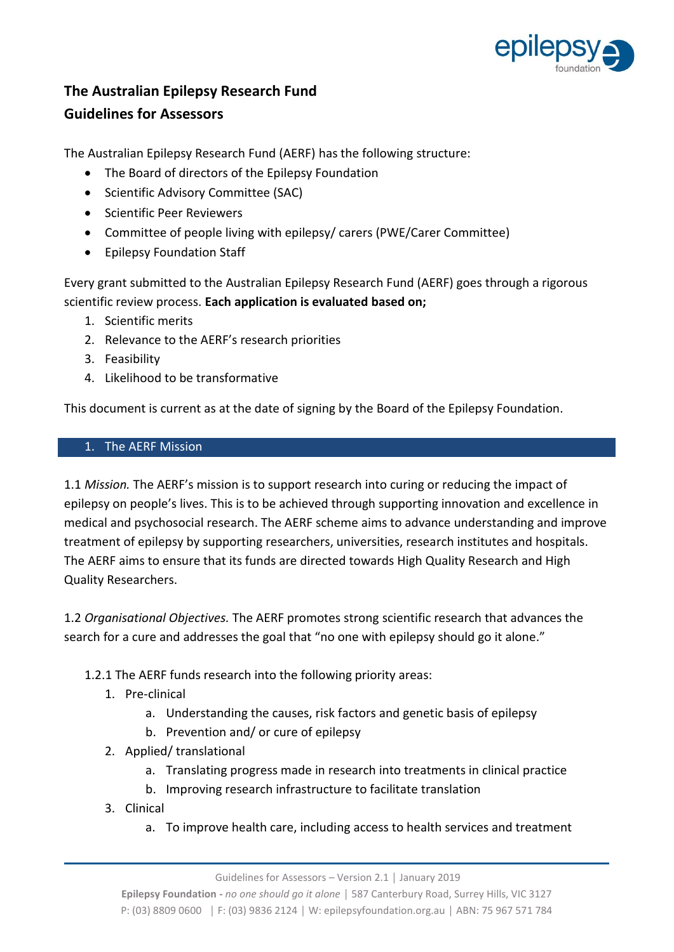

# **The Australian Epilepsy Research Fund Guidelines for Assessors**

The Australian Epilepsy Research Fund (AERF) has the following structure:

- The Board of directors of the Epilepsy Foundation
- Scientific Advisory Committee (SAC)
- Scientific Peer Reviewers
- Committee of people living with epilepsy/ carers (PWE/Carer Committee)
- Epilepsy Foundation Staff

Every grant submitted to the Australian Epilepsy Research Fund (AERF) goes through a rigorous scientific review process. **Each application is evaluated based on;**

- 1. Scientific merits
- 2. Relevance to the AERF's research priorities
- 3. Feasibility
- 4. Likelihood to be transformative

This document is current as at the date of signing by the Board of the Epilepsy Foundation.

## 1. The AERF Mission

1.1 *Mission.* The AERF's mission is to support research into curing or reducing the impact of epilepsy on people's lives. This is to be achieved through supporting innovation and excellence in medical and psychosocial research. The AERF scheme aims to advance understanding and improve treatment of epilepsy by supporting researchers, universities, research institutes and hospitals. The AERF aims to ensure that its funds are directed towards High Quality Research and High Quality Researchers.

1.2 *Organisational Objectives.* The AERF promotes strong scientific research that advances the search for a cure and addresses the goal that "no one with epilepsy should go it alone."

1.2.1 The AERF funds research into the following priority areas:

- 1. Pre-clinical
	- a. Understanding the causes, risk factors and genetic basis of epilepsy
	- b. Prevention and/ or cure of epilepsy
- 2. Applied/ translational
	- a. Translating progress made in research into treatments in clinical practice
	- b. Improving research infrastructure to facilitate translation
- 3. Clinical
	- a. To improve health care, including access to health services and treatment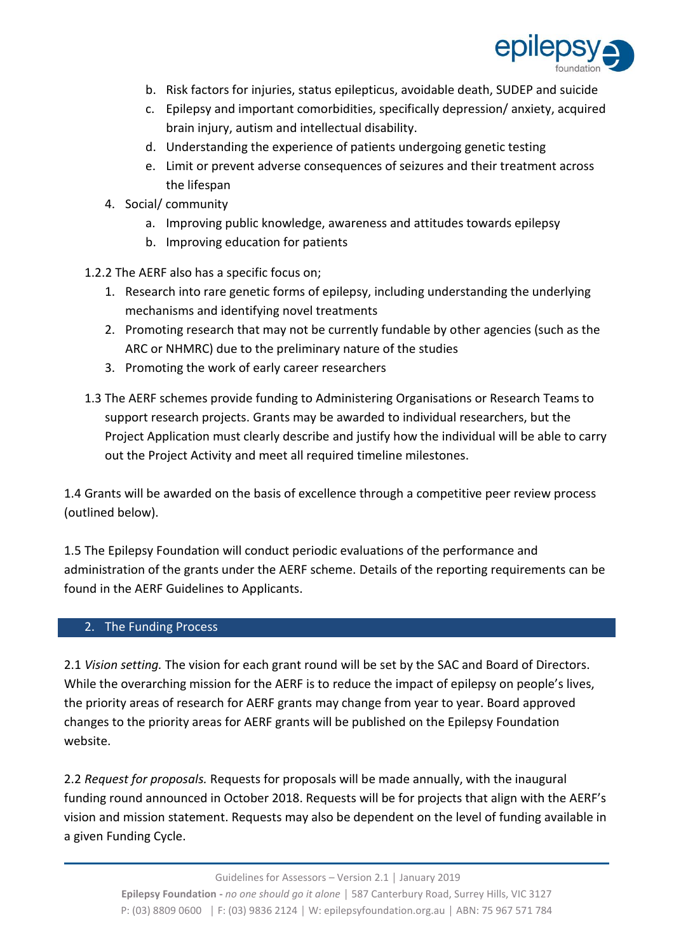

- b. Risk factors for injuries, status epilepticus, avoidable death, SUDEP and suicide
- c. Epilepsy and important comorbidities, specifically depression/ anxiety, acquired brain injury, autism and intellectual disability.
- d. Understanding the experience of patients undergoing genetic testing
- e. Limit or prevent adverse consequences of seizures and their treatment across the lifespan
- 4. Social/ community
	- a. Improving public knowledge, awareness and attitudes towards epilepsy
	- b. Improving education for patients
- 1.2.2 The AERF also has a specific focus on;
	- 1. Research into rare genetic forms of epilepsy, including understanding the underlying mechanisms and identifying novel treatments
	- 2. Promoting research that may not be currently fundable by other agencies (such as the ARC or NHMRC) due to the preliminary nature of the studies
	- 3. Promoting the work of early career researchers
- 1.3 The AERF schemes provide funding to Administering Organisations or Research Teams to support research projects. Grants may be awarded to individual researchers, but the Project Application must clearly describe and justify how the individual will be able to carry out the Project Activity and meet all required timeline milestones.

1.4 Grants will be awarded on the basis of excellence through a competitive peer review process (outlined below).

1.5 The Epilepsy Foundation will conduct periodic evaluations of the performance and administration of the grants under the AERF scheme. Details of the reporting requirements can be found in the AERF Guidelines to Applicants.

# 2. The Funding Process

2.1 *Vision setting.* The vision for each grant round will be set by the SAC and Board of Directors. While the overarching mission for the AERF is to reduce the impact of epilepsy on people's lives, the priority areas of research for AERF grants may change from year to year. Board approved changes to the priority areas for AERF grants will be published on the Epilepsy Foundation website.

2.2 *Request for proposals.* Requests for proposals will be made annually, with the inaugural funding round announced in October 2018. Requests will be for projects that align with the AERF's vision and mission statement. Requests may also be dependent on the level of funding available in a given Funding Cycle.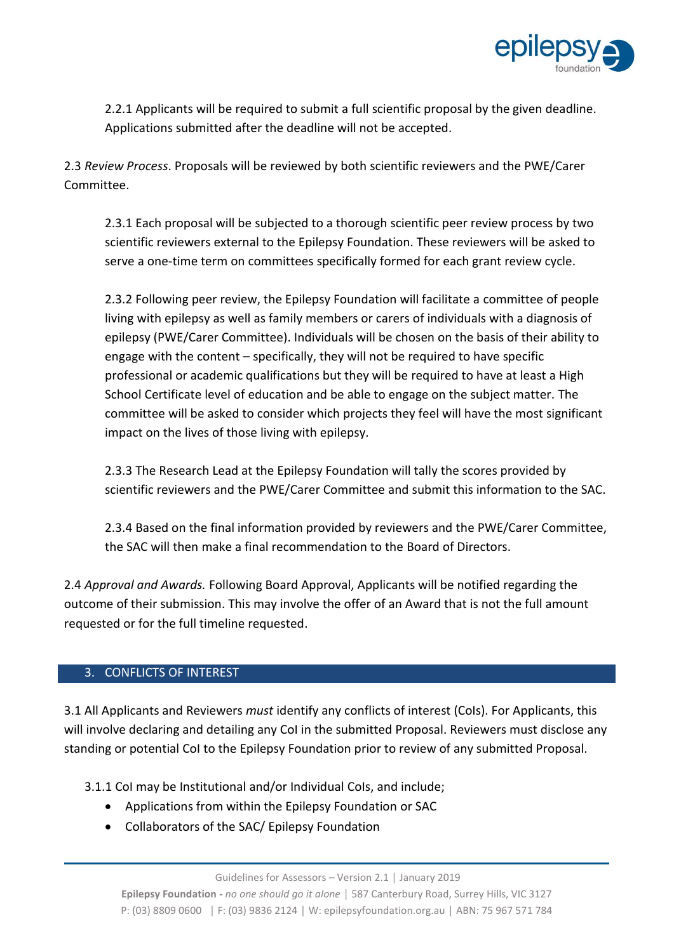

2.2.1 Applicants will be required to submit a full scientific proposal by the given deadline. Applications submitted after the deadline will not be accepted.

2.3 *Review Process*. Proposals will be reviewed by both scientific reviewers and the PWE/Carer Committee.

2.3.1 Each proposal will be subjected to a thorough scientific peer review process by two scientific reviewers external to the Epilepsy Foundation. These reviewers will be asked to serve a one-time term on committees specifically formed for each grant review cycle.

2.3.2 Following peer review, the Epilepsy Foundation will facilitate a committee of people living with epilepsy as well as family members or carers of individuals with a diagnosis of epilepsy (PWE/Carer Committee). Individuals will be chosen on the basis of their ability to engage with the content – specifically, they will not be required to have specific professional or academic qualifications but they will be required to have at least a High School Certificate level of education and be able to engage on the subject matter. The committee will be asked to consider which projects they feel will have the most significant impact on the lives of those living with epilepsy.

2.3.3 The Research Lead at the Epilepsy Foundation will tally the scores provided by scientific reviewers and the PWE/Carer Committee and submit this information to the SAC.

2.3.4 Based on the final information provided by reviewers and the PWE/Carer Committee, the SAC will then make a final recommendation to the Board of Directors.

2.4 *Approval and Awards.* Following Board Approval, Applicants will be notified regarding the outcome of their submission. This may involve the offer of an Award that is not the full amount requested or for the full timeline requested.

### 3. CONFLICTS OF INTEREST

3.1 All Applicants and Reviewers *must* identify any conflicts of interest (CoIs). For Applicants, this will involve declaring and detailing any CoI in the submitted Proposal. Reviewers must disclose any standing or potential CoI to the Epilepsy Foundation prior to review of any submitted Proposal.

3.1.1 CoI may be Institutional and/or Individual CoIs, and include;

- Applications from within the Epilepsy Foundation or SAC
- Collaborators of the SAC/ Epilepsy Foundation

**Epilepsy Foundation -** *no one should go it alone* │ 587 Canterbury Road, Surrey Hills, VIC 3127 P: (03) 8809 0600 │ F: (03) 9836 2124 │ W: epilepsyfoundation.org.au │ ABN: 75 967 571 784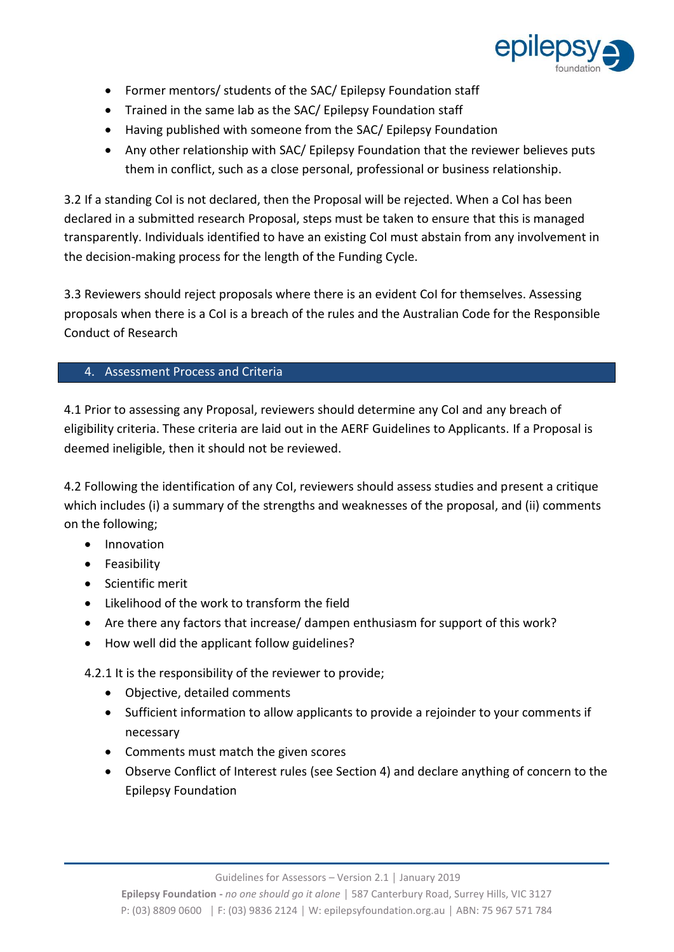

- Former mentors/ students of the SAC/ Epilepsy Foundation staff
- Trained in the same lab as the SAC/ Epilepsy Foundation staff
- Having published with someone from the SAC/ Epilepsy Foundation
- Any other relationship with SAC/ Epilepsy Foundation that the reviewer believes puts them in conflict, such as a close personal, professional or business relationship.

3.2 If a standing CoI is not declared, then the Proposal will be rejected. When a CoI has been declared in a submitted research Proposal, steps must be taken to ensure that this is managed transparently. Individuals identified to have an existing CoI must abstain from any involvement in the decision-making process for the length of the Funding Cycle.

3.3 Reviewers should reject proposals where there is an evident CoI for themselves. Assessing proposals when there is a CoI is a breach of the rules and the Australian Code for the Responsible Conduct of Research

# 4. Assessment Process and Criteria

4.1 Prior to assessing any Proposal, reviewers should determine any CoI and any breach of eligibility criteria. These criteria are laid out in the AERF Guidelines to Applicants. If a Proposal is deemed ineligible, then it should not be reviewed.

4.2 Following the identification of any CoI, reviewers should assess studies and present a critique which includes (i) a summary of the strengths and weaknesses of the proposal, and (ii) comments on the following;

- Innovation
- Feasibility
- Scientific merit
- Likelihood of the work to transform the field
- Are there any factors that increase/ dampen enthusiasm for support of this work?
- How well did the applicant follow guidelines?

4.2.1 It is the responsibility of the reviewer to provide;

- Objective, detailed comments
- Sufficient information to allow applicants to provide a rejoinder to your comments if necessary
- Comments must match the given scores
- Observe Conflict of Interest rules (see Section 4) and declare anything of concern to the Epilepsy Foundation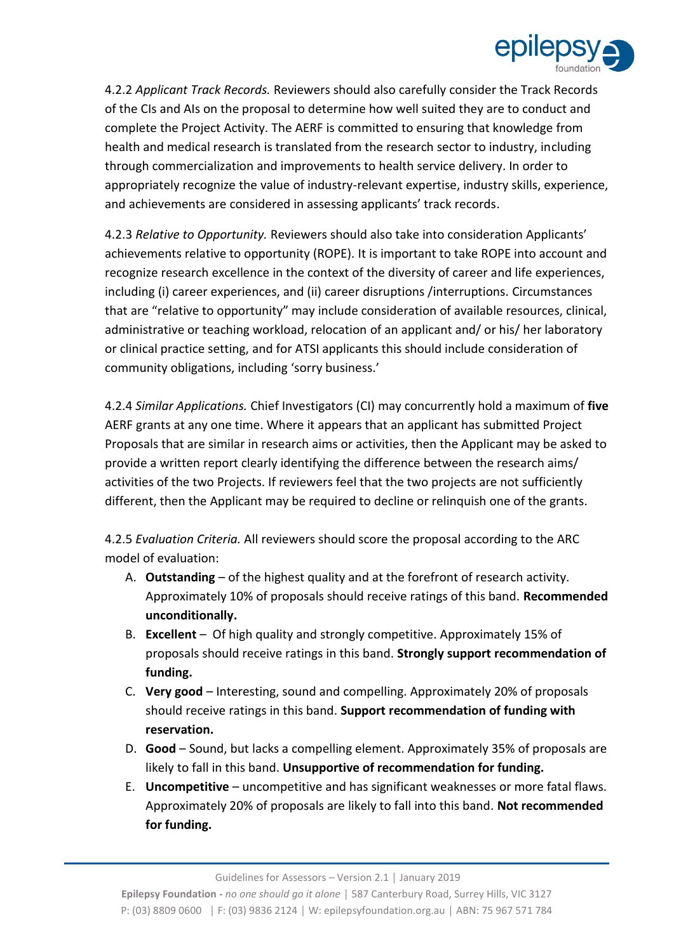

4.2.2 *Applicant Track Records.* Reviewers should also carefully consider the Track Records of the CIs and AIs on the proposal to determine how well suited they are to conduct and complete the Project Activity. The AERF is committed to ensuring that knowledge from health and medical research is translated from the research sector to industry, including through commercialization and improvements to health service delivery. In order to appropriately recognize the value of industry-relevant expertise, industry skills, experience, and achievements are considered in assessing applicants' track records.

4.2.3 *Relative to Opportunity.* Reviewers should also take into consideration Applicants' achievements relative to opportunity (ROPE). It is important to take ROPE into account and recognize research excellence in the context of the diversity of career and life experiences, including (i) career experiences, and (ii) career disruptions /interruptions. Circumstances that are "relative to opportunity" may include consideration of available resources, clinical, administrative or teaching workload, relocation of an applicant and/ or his/ her laboratory or clinical practice setting, and for ATSI applicants this should include consideration of community obligations, including 'sorry business.'

4.2.4 *Similar Applications.* Chief Investigators (CI) may concurrently hold a maximum of **five** AERF grants at any one time. Where it appears that an applicant has submitted Project Proposals that are similar in research aims or activities, then the Applicant may be asked to provide a written report clearly identifying the difference between the research aims/ activities of the two Projects. If reviewers feel that the two projects are not sufficiently different, then the Applicant may be required to decline or relinquish one of the grants.

4.2.5 *Evaluation Criteria.* All reviewers should score the proposal according to the ARC model of evaluation:

- A. **Outstanding** of the highest quality and at the forefront of research activity. Approximately 10% of proposals should receive ratings of this band. **Recommended unconditionally.**
- B. **Excellent**  Of high quality and strongly competitive. Approximately 15% of proposals should receive ratings in this band. **Strongly support recommendation of funding.**
- C. **Very good**  Interesting, sound and compelling. Approximately 20% of proposals should receive ratings in this band. **Support recommendation of funding with reservation.**
- D. **Good**  Sound, but lacks a compelling element. Approximately 35% of proposals are likely to fall in this band. **Unsupportive of recommendation for funding.**
- E. **Uncompetitive**  uncompetitive and has significant weaknesses or more fatal flaws. Approximately 20% of proposals are likely to fall into this band. **Not recommended for funding.**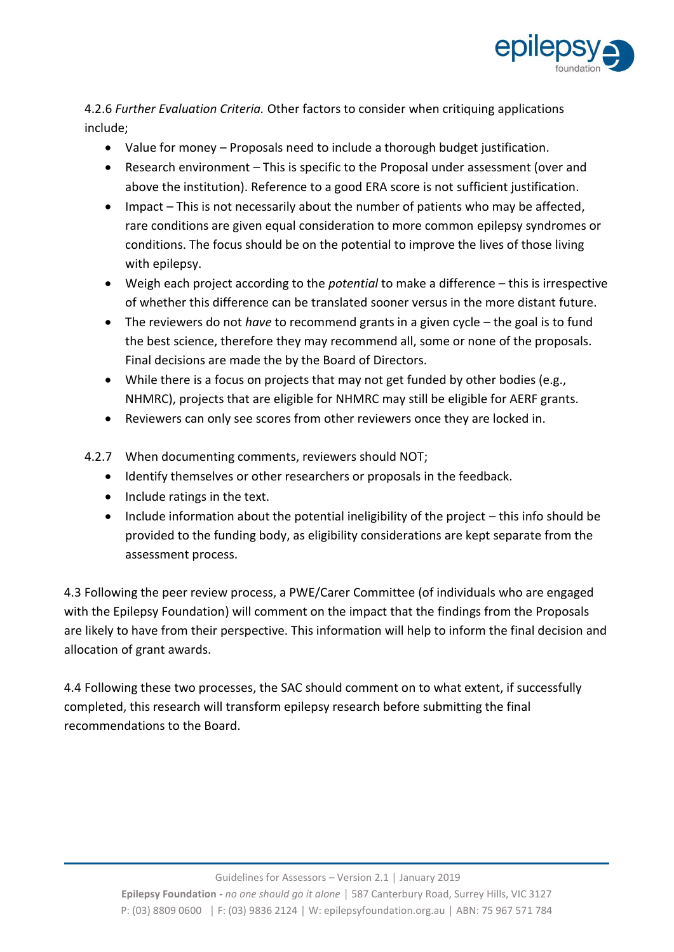

4.2.6 *Further Evaluation Criteria.* Other factors to consider when critiquing applications include;

- Value for money Proposals need to include a thorough budget justification.
- Research environment This is specific to the Proposal under assessment (over and above the institution). Reference to a good ERA score is not sufficient justification.
- Impact This is not necessarily about the number of patients who may be affected, rare conditions are given equal consideration to more common epilepsy syndromes or conditions. The focus should be on the potential to improve the lives of those living with epilepsy.
- Weigh each project according to the *potential* to make a difference this is irrespective of whether this difference can be translated sooner versus in the more distant future.
- The reviewers do not *have* to recommend grants in a given cycle the goal is to fund the best science, therefore they may recommend all, some or none of the proposals. Final decisions are made the by the Board of Directors.
- While there is a focus on projects that may not get funded by other bodies (e.g., NHMRC), projects that are eligible for NHMRC may still be eligible for AERF grants.
- Reviewers can only see scores from other reviewers once they are locked in.
- 4.2.7 When documenting comments, reviewers should NOT;
	- Identify themselves or other researchers or proposals in the feedback.
	- Include ratings in the text.
	- Include information about the potential ineligibility of the project this info should be provided to the funding body, as eligibility considerations are kept separate from the assessment process.

4.3 Following the peer review process, a PWE/Carer Committee (of individuals who are engaged with the Epilepsy Foundation) will comment on the impact that the findings from the Proposals are likely to have from their perspective. This information will help to inform the final decision and allocation of grant awards.

4.4 Following these two processes, the SAC should comment on to what extent, if successfully completed, this research will transform epilepsy research before submitting the final recommendations to the Board.